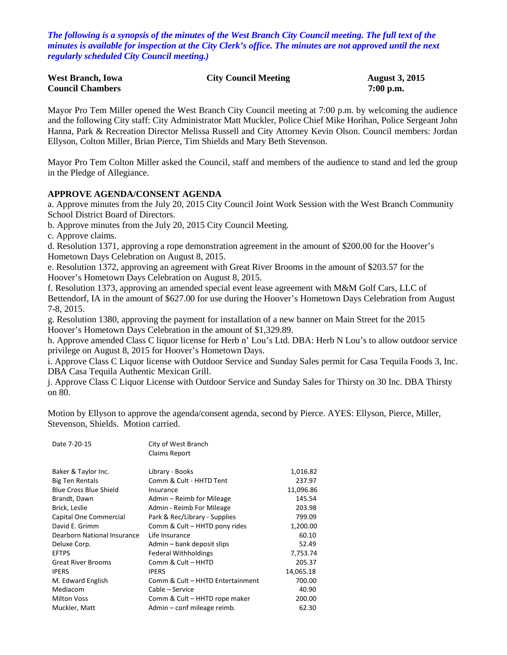*The following is a synopsis of the minutes of the West Branch City Council meeting. The full text of the minutes is available for inspection at the City Clerk's office. The minutes are not approved until the next regularly scheduled City Council meeting.)*

| <b>West Branch, Iowa</b> | <b>City Council Meeting</b> | <b>August 3, 2015</b> |
|--------------------------|-----------------------------|-----------------------|
| <b>Council Chambers</b>  |                             | $7:00$ p.m.           |

Mayor Pro Tem Miller opened the West Branch City Council meeting at 7:00 p.m. by welcoming the audience and the following City staff: City Administrator Matt Muckler, Police Chief Mike Horihan, Police Sergeant John Hanna, Park & Recreation Director Melissa Russell and City Attorney Kevin Olson. Council members: Jordan Ellyson, Colton Miller, Brian Pierce, Tim Shields and Mary Beth Stevenson.

Mayor Pro Tem Colton Miller asked the Council, staff and members of the audience to stand and led the group in the Pledge of Allegiance.

#### **APPROVE AGENDA/CONSENT AGENDA**

a. Approve minutes from the July 20, 2015 City Council Joint Work Session with the West Branch Community School District Board of Directors.

b. Approve minutes from the July 20, 2015 City Council Meeting.

c. Approve claims.

d. Resolution 1371, approving a rope demonstration agreement in the amount of \$200.00 for the Hoover's Hometown Days Celebration on August 8, 2015.

e. Resolution 1372, approving an agreement with Great River Brooms in the amount of \$203.57 for the Hoover's Hometown Days Celebration on August 8, 2015.

f. Resolution 1373, approving an amended special event lease agreement with M&M Golf Cars, LLC of Bettendorf, IA in the amount of \$627.00 for use during the Hoover's Hometown Days Celebration from August 7-8, 2015.

g. Resolution 1380, approving the payment for installation of a new banner on Main Street for the 2015 Hoover's Hometown Days Celebration in the amount of \$1,329.89.

h. Approve amended Class C liquor license for Herb n' Lou's Ltd. DBA: Herb N Lou's to allow outdoor service privilege on August 8, 2015 for Hoover's Hometown Days.

i. Approve Class C Liquor license with Outdoor Service and Sunday Sales permit for Casa Tequila Foods 3, Inc. DBA Casa Tequila Authentic Mexican Grill.

j. Approve Class C Liquor License with Outdoor Service and Sunday Sales for Thirsty on 30 Inc. DBA Thirsty on 80.

Motion by Ellyson to approve the agenda/consent agenda, second by Pierce. AYES: Ellyson, Pierce, Miller, Stevenson, Shields. Motion carried.

| Date 7-20-15                  | City of West Branch              |           |
|-------------------------------|----------------------------------|-----------|
|                               | Claims Report                    |           |
|                               |                                  |           |
| Baker & Taylor Inc.           | Library - Books                  | 1,016.82  |
| <b>Big Ten Rentals</b>        | Comm & Cult - HHTD Tent          | 237.97    |
| <b>Blue Cross Blue Shield</b> | Insurance                        | 11,096.86 |
| Brandt, Dawn                  | Admin – Reimb for Mileage        | 145.54    |
| Brick, Leslie                 | Admin - Reimb For Mileage        | 203.98    |
| Capital One Commercial        | Park & Rec/Library - Supplies    | 799.09    |
| David E. Grimm                | Comm & Cult - HHTD pony rides    | 1,200.00  |
| Dearborn National Insurance   | Life Insurance                   | 60.10     |
| Deluxe Corp.                  | Admin – bank deposit slips       | 52.49     |
| <b>EFTPS</b>                  | <b>Federal Withholdings</b>      | 7,753.74  |
| <b>Great River Brooms</b>     | Comm & Cult - HHTD               | 205.37    |
| <b>IPERS</b>                  | <b>IPERS</b>                     | 14,065.18 |
| M. Edward English             | Comm & Cult - HHTD Entertainment | 700.00    |
| Mediacom                      | Cable – Service                  | 40.90     |
| <b>Milton Voss</b>            | Comm & Cult – HHTD rope maker    | 200.00    |
| Muckler, Matt                 | Admin - conf mileage reimb.      | 62.30     |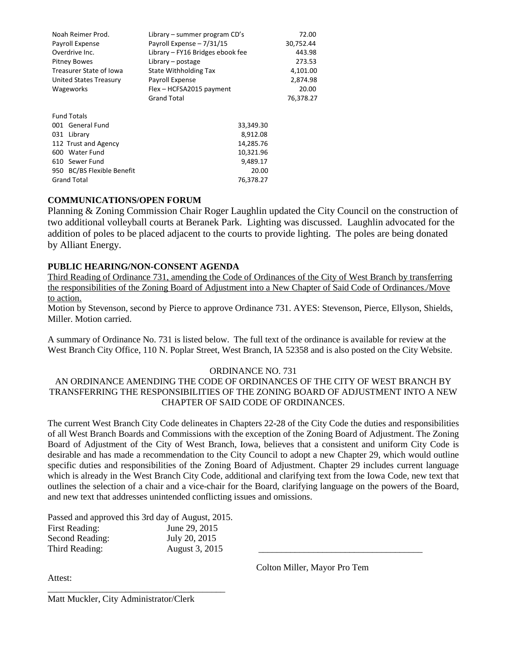| Noah Reimer Prod.          | Library – summer program $CD's$  | 72.00     |
|----------------------------|----------------------------------|-----------|
| Payroll Expense            | Payroll Expense - 7/31/15        | 30,752.44 |
| Overdrive Inc.             | Library – FY16 Bridges ebook fee | 443.98    |
| <b>Pitney Bowes</b>        | Library $-$ postage              | 273.53    |
| Treasurer State of Iowa    | State Withholding Tax            | 4,101.00  |
| United States Treasury     | Payroll Expense                  | 2,874.98  |
| <b>Wageworks</b>           | Flex - HCFSA2015 payment         | 20.00     |
|                            | <b>Grand Total</b>               | 76,378.27 |
|                            |                                  |           |
| <b>Fund Totals</b>         |                                  |           |
| 001 General Fund           | 33,349.30                        |           |
| 031 Library                | 8,912.08                         |           |
| 112 Trust and Agency       | 14,285.76                        |           |
| 600 Water Fund             | 10,321.96                        |           |
| 610 Sewer Fund             | 9,489.17                         |           |
| 950 BC/BS Flexible Benefit | 20.00                            |           |
| <b>Grand Total</b>         | 76,378.27                        |           |

### **COMMUNICATIONS/OPEN FORUM**

Planning & Zoning Commission Chair Roger Laughlin updated the City Council on the construction of two additional volleyball courts at Beranek Park. Lighting was discussed. Laughlin advocated for the addition of poles to be placed adjacent to the courts to provide lighting. The poles are being donated by Alliant Energy.

#### **PUBLIC HEARING/NON-CONSENT AGENDA**

Third Reading of Ordinance 731, amending the Code of Ordinances of the City of West Branch by transferring the responsibilities of the Zoning Board of Adjustment into a New Chapter of Said Code of Ordinances./Move to action.

Motion by Stevenson, second by Pierce to approve Ordinance 731. AYES: Stevenson, Pierce, Ellyson, Shields, Miller. Motion carried.

A summary of Ordinance No. 731 is listed below. The full text of the ordinance is available for review at the West Branch City Office, 110 N. Poplar Street, West Branch, IA 52358 and is also posted on the City Website.

#### ORDINANCE NO. 731

### AN ORDINANCE AMENDING THE CODE OF ORDINANCES OF THE CITY OF WEST BRANCH BY TRANSFERRING THE RESPONSIBILITIES OF THE ZONING BOARD OF ADJUSTMENT INTO A NEW CHAPTER OF SAID CODE OF ORDINANCES.

The current West Branch City Code delineates in Chapters 22-28 of the City Code the duties and responsibilities of all West Branch Boards and Commissions with the exception of the Zoning Board of Adjustment. The Zoning Board of Adjustment of the City of West Branch, Iowa, believes that a consistent and uniform City Code is desirable and has made a recommendation to the City Council to adopt a new Chapter 29, which would outline specific duties and responsibilities of the Zoning Board of Adjustment. Chapter 29 includes current language which is already in the West Branch City Code, additional and clarifying text from the Iowa Code, new text that outlines the selection of a chair and a vice-chair for the Board, clarifying language on the powers of the Board, and new text that addresses unintended conflicting issues and omissions.

Passed and approved this 3rd day of August, 2015.

| <b>First Reading:</b> | June 29, 2015  |  |
|-----------------------|----------------|--|
| Second Reading:       | July 20, 2015  |  |
| Third Reading:        | August 3, 2015 |  |

\_\_\_\_\_\_\_\_\_\_\_\_\_\_\_\_\_\_\_\_\_\_\_\_\_\_\_\_\_\_\_\_\_\_\_\_\_\_\_

Attest:

Colton Miller, Mayor Pro Tem

Matt Muckler, City Administrator/Clerk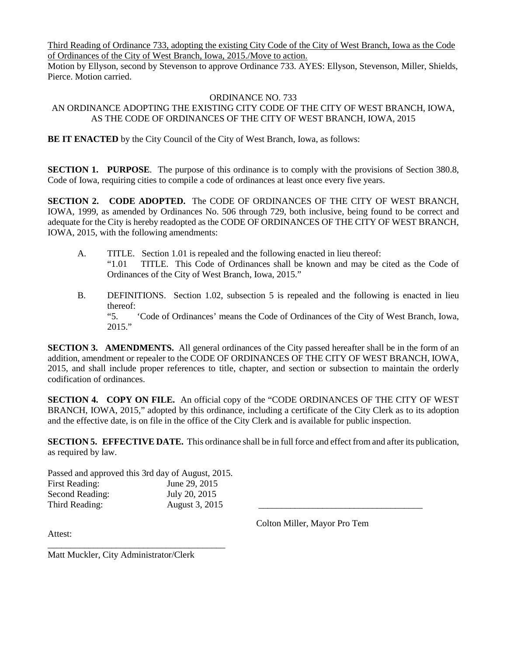Third Reading of Ordinance 733, adopting the existing City Code of the City of West Branch, Iowa as the Code of Ordinances of the City of West Branch, Iowa, 2015./Move to action.

Motion by Ellyson, second by Stevenson to approve Ordinance 733. AYES: Ellyson, Stevenson, Miller, Shields, Pierce. Motion carried.

#### ORDINANCE NO. 733

### AN ORDINANCE ADOPTING THE EXISTING CITY CODE OF THE CITY OF WEST BRANCH, IOWA, AS THE CODE OF ORDINANCES OF THE CITY OF WEST BRANCH, IOWA, 2015

**BE IT ENACTED** by the City Council of the City of West Branch, Iowa, as follows:

**SECTION 1. PURPOSE**. The purpose of this ordinance is to comply with the provisions of Section 380.8, Code of Iowa, requiring cities to compile a code of ordinances at least once every five years.

**SECTION 2. CODE ADOPTED.** The CODE OF ORDINANCES OF THE CITY OF WEST BRANCH, IOWA, 1999, as amended by Ordinances No. 506 through 729, both inclusive, being found to be correct and adequate for the City is hereby readopted as the CODE OF ORDINANCES OF THE CITY OF WEST BRANCH, IOWA, 2015, with the following amendments:

- A. TITLE. Section 1.01 is repealed and the following enacted in lieu thereof: "1.01 TITLE. This Code of Ordinances shall be known and may be cited as the Code of Ordinances of the City of West Branch, Iowa, 2015."
- B. DEFINITIONS. Section 1.02, subsection 5 is repealed and the following is enacted in lieu thereof: "5. 'Code of Ordinances' means the Code of Ordinances of the City of West Branch, Iowa, 2015."

**SECTION 3. AMENDMENTS.** All general ordinances of the City passed hereafter shall be in the form of an addition, amendment or repealer to the CODE OF ORDINANCES OF THE CITY OF WEST BRANCH, IOWA, 2015, and shall include proper references to title, chapter, and section or subsection to maintain the orderly codification of ordinances.

**SECTION 4. COPY ON FILE.** An official copy of the "CODE ORDINANCES OF THE CITY OF WEST BRANCH, IOWA, 2015," adopted by this ordinance, including a certificate of the City Clerk as to its adoption and the effective date, is on file in the office of the City Clerk and is available for public inspection.

**SECTION 5. EFFECTIVE DATE.** This ordinance shall be in full force and effect from and after its publication, as required by law.

Passed and approved this 3rd day of August, 2015. First Reading: June 29, 2015 Second Reading: July 20, 2015 Third Reading: August 3, 2015

Colton Miller, Mayor Pro Tem

Attest:

\_\_\_\_\_\_\_\_\_\_\_\_\_\_\_\_\_\_\_\_\_\_\_\_\_\_\_\_\_\_\_\_\_\_\_\_\_\_\_ Matt Muckler, City Administrator/Clerk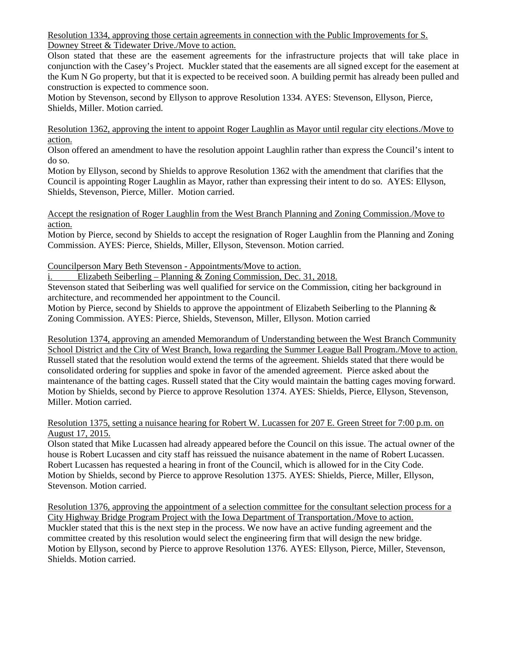Resolution 1334, approving those certain agreements in connection with the Public Improvements for S. Downey Street & Tidewater Drive./Move to action.

Olson stated that these are the easement agreements for the infrastructure projects that will take place in conjunction with the Casey's Project. Muckler stated that the easements are all signed except for the easement at the Kum N Go property, but that it is expected to be received soon. A building permit has already been pulled and construction is expected to commence soon.

Motion by Stevenson, second by Ellyson to approve Resolution 1334. AYES: Stevenson, Ellyson, Pierce, Shields, Miller. Motion carried.

Resolution 1362, approving the intent to appoint Roger Laughlin as Mayor until regular city elections./Move to action.

Olson offered an amendment to have the resolution appoint Laughlin rather than express the Council's intent to do so.

Motion by Ellyson, second by Shields to approve Resolution 1362 with the amendment that clarifies that the Council is appointing Roger Laughlin as Mayor, rather than expressing their intent to do so. AYES: Ellyson, Shields, Stevenson, Pierce, Miller. Motion carried.

Accept the resignation of Roger Laughlin from the West Branch Planning and Zoning Commission./Move to action.

Motion by Pierce, second by Shields to accept the resignation of Roger Laughlin from the Planning and Zoning Commission. AYES: Pierce, Shields, Miller, Ellyson, Stevenson. Motion carried.

### Councilperson Mary Beth Stevenson - Appointments/Move to action.

i. Elizabeth Seiberling – Planning & Zoning Commission, Dec. 31, 2018.

Stevenson stated that Seiberling was well qualified for service on the Commission, citing her background in architecture, and recommended her appointment to the Council.

Motion by Pierce, second by Shields to approve the appointment of Elizabeth Seiberling to the Planning  $\&$ Zoning Commission. AYES: Pierce, Shields, Stevenson, Miller, Ellyson. Motion carried

Resolution 1374, approving an amended Memorandum of Understanding between the West Branch Community School District and the City of West Branch, Iowa regarding the Summer League Ball Program./Move to action. Russell stated that the resolution would extend the terms of the agreement. Shields stated that there would be consolidated ordering for supplies and spoke in favor of the amended agreement. Pierce asked about the maintenance of the batting cages. Russell stated that the City would maintain the batting cages moving forward. Motion by Shields, second by Pierce to approve Resolution 1374. AYES: Shields, Pierce, Ellyson, Stevenson, Miller. Motion carried.

### Resolution 1375, setting a nuisance hearing for Robert W. Lucassen for 207 E. Green Street for 7:00 p.m. on August 17, 2015.

Olson stated that Mike Lucassen had already appeared before the Council on this issue. The actual owner of the house is Robert Lucassen and city staff has reissued the nuisance abatement in the name of Robert Lucassen. Robert Lucassen has requested a hearing in front of the Council, which is allowed for in the City Code. Motion by Shields, second by Pierce to approve Resolution 1375. AYES: Shields, Pierce, Miller, Ellyson, Stevenson. Motion carried.

Resolution 1376, approving the appointment of a selection committee for the consultant selection process for a City Highway Bridge Program Project with the Iowa Department of Transportation./Move to action. Muckler stated that this is the next step in the process. We now have an active funding agreement and the committee created by this resolution would select the engineering firm that will design the new bridge. Motion by Ellyson, second by Pierce to approve Resolution 1376. AYES: Ellyson, Pierce, Miller, Stevenson, Shields. Motion carried.